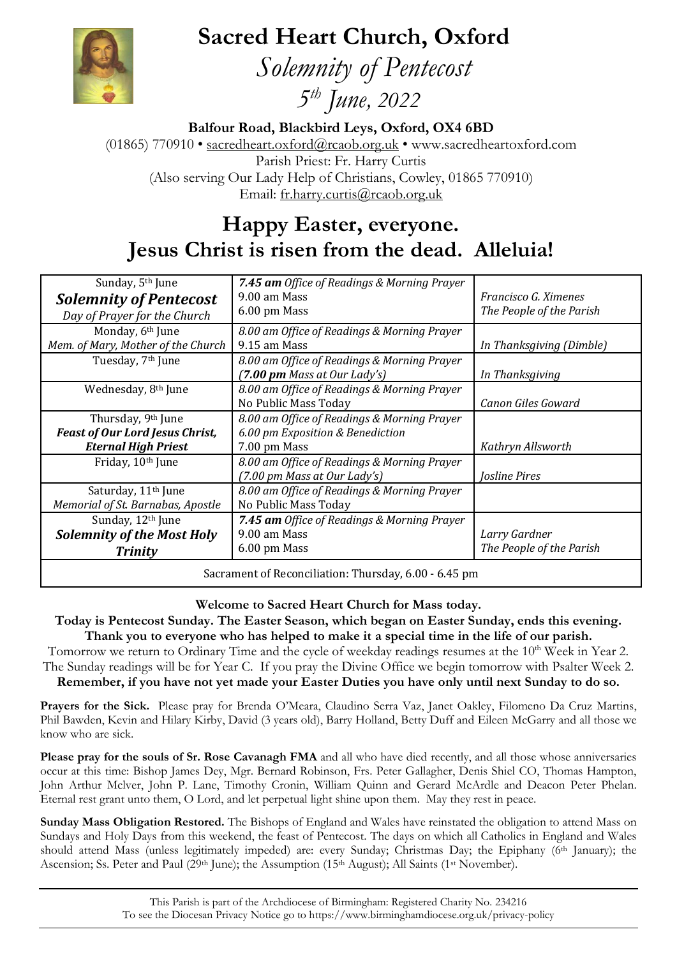**Sacred Heart Church, Oxford**



 *Solemnity of Pentecost 5 th June, 2022*

**Balfour Road, Blackbird Leys, Oxford, OX4 6BD** (01865) 770910 • [sacredheart.oxford@rcaob.org.uk](mailto:sacredheart.oxford@rcaob.org.uk) • www.sacredheartoxford.com Parish Priest: Fr. Harry Curtis (Also serving Our Lady Help of Christians, Cowley, 01865 770910) Email: [fr.harry.curtis@rcaob.org.uk](mailto:fr.harry.curtis@rcaob.org.uk)

## **Happy Easter, everyone. Jesus Christ is risen from the dead. Alleluia!**

| Sunday, 5 <sup>th</sup> June<br><b>Solemnity of Pentecost</b><br>Day of Prayer for the Church          | 7.45 am Office of Readings & Morning Prayer<br>9.00 am Mass<br>6.00 pm Mass                     | Francisco G. Ximenes<br>The People of the Parish |  |
|--------------------------------------------------------------------------------------------------------|-------------------------------------------------------------------------------------------------|--------------------------------------------------|--|
| Monday, 6 <sup>th</sup> June<br>Mem. of Mary, Mother of the Church                                     | 8.00 am Office of Readings & Morning Prayer<br>9.15 am Mass                                     | In Thanksgiving (Dimble)                         |  |
| Tuesday, 7 <sup>th</sup> June                                                                          | 8.00 am Office of Readings & Morning Prayer<br>$(7.00 \text{ pm Mass at Our Lady's})$           | In Thanksgiving                                  |  |
| Wednesday, 8 <sup>th</sup> June                                                                        | 8.00 am Office of Readings & Morning Prayer<br>No Public Mass Today                             | Canon Giles Goward                               |  |
| Thursday, 9 <sup>th</sup> June<br><b>Feast of Our Lord Jesus Christ,</b><br><b>Eternal High Priest</b> | 8.00 am Office of Readings & Morning Prayer<br>6.00 pm Exposition & Benediction<br>7.00 pm Mass | Kathryn Allsworth                                |  |
| Friday, 10th June                                                                                      | 8.00 am Office of Readings & Morning Prayer<br>(7.00 pm Mass at Our Lady's)                     | <b>Josline Pires</b>                             |  |
| Saturday, 11 <sup>th</sup> June<br>Memorial of St. Barnabas, Apostle                                   | 8.00 am Office of Readings & Morning Prayer<br>No Public Mass Today                             |                                                  |  |
| Sunday, 12th June<br><b>Solemnity of the Most Holy</b><br><b>Trinity</b>                               | 7.45 am Office of Readings & Morning Prayer<br>9.00 am Mass<br>6.00 pm Mass                     | Larry Gardner<br>The People of the Parish        |  |
| Sacrament of Reconciliation: Thursday, 6.00 - 6.45 pm                                                  |                                                                                                 |                                                  |  |

**Welcome to Sacred Heart Church for Mass today.**

**Today is Pentecost Sunday. The Easter Season, which began on Easter Sunday, ends this evening. Thank you to everyone who has helped to make it a special time in the life of our parish.** 

Tomorrow we return to Ordinary Time and the cycle of weekday readings resumes at the 10<sup>th</sup> Week in Year 2. The Sunday readings will be for Year C. If you pray the Divine Office we begin tomorrow with Psalter Week 2. **Remember, if you have not yet made your Easter Duties you have only until next Sunday to do so.**

**Prayers for the Sick.** Please pray for Brenda O'Meara, Claudino Serra Vaz, Janet Oakley, Filomeno Da Cruz Martins, Phil Bawden, Kevin and Hilary Kirby, David (3 years old), Barry Holland, Betty Duff and Eileen McGarry and all those we know who are sick.

**Please pray for the souls of Sr. Rose Cavanagh FMA** and all who have died recently, and all those whose anniversaries occur at this time: Bishop James Dey, Mgr. Bernard Robinson, Frs. Peter Gallagher, Denis Shiel CO, Thomas Hampton, John Arthur Mclver, John P. Lane, Timothy Cronin, William Quinn and Gerard McArdle and Deacon Peter Phelan. Eternal rest grant unto them, O Lord, and let perpetual light shine upon them. May they rest in peace.

**Sunday Mass Obligation Restored.** The Bishops of England and Wales have reinstated the obligation to attend Mass on Sundays and Holy Days from this weekend, the feast of Pentecost. The days on which all Catholics in England and Wales should attend Mass (unless legitimately impeded) are: every Sunday; Christmas Day; the Epiphany (6<sup>th</sup> January); the Ascension; Ss. Peter and Paul (29<sup>th</sup> June); the Assumption (15<sup>th</sup> August); All Saints (1<sup>st</sup> November).

> This Parish is part of the Archdiocese of Birmingham: Registered Charity No. 234216 To see the Diocesan Privacy Notice go to<https://www.birminghamdiocese.org.uk/privacy-policy>